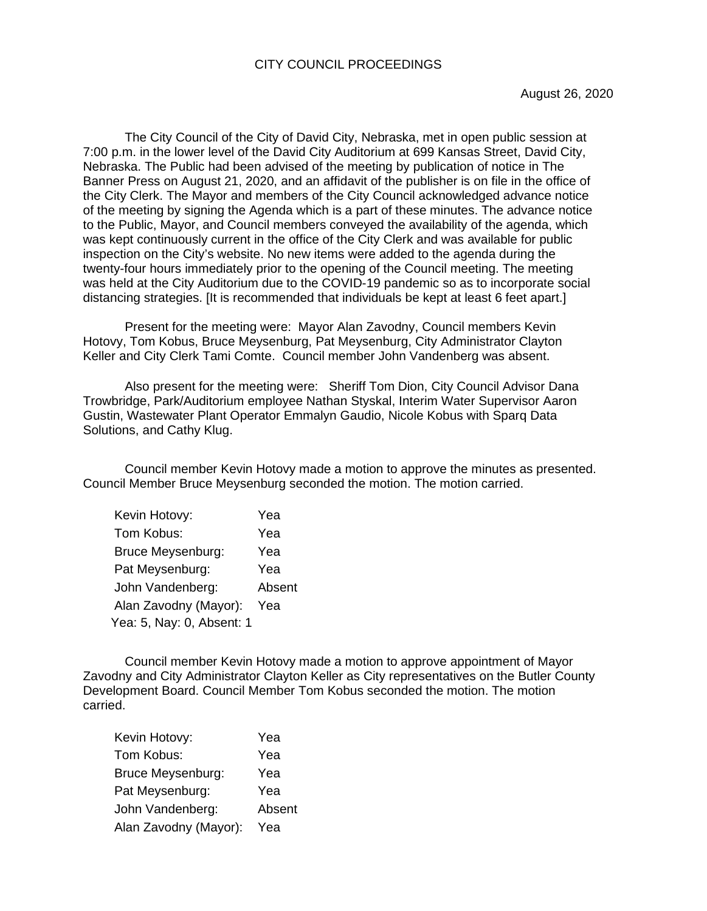The City Council of the City of David City, Nebraska, met in open public session at 7:00 p.m. in the lower level of the David City Auditorium at 699 Kansas Street, David City, Nebraska. The Public had been advised of the meeting by publication of notice in The Banner Press on August 21, 2020, and an affidavit of the publisher is on file in the office of the City Clerk. The Mayor and members of the City Council acknowledged advance notice of the meeting by signing the Agenda which is a part of these minutes. The advance notice to the Public, Mayor, and Council members conveyed the availability of the agenda, which was kept continuously current in the office of the City Clerk and was available for public inspection on the City's website. No new items were added to the agenda during the twenty-four hours immediately prior to the opening of the Council meeting. The meeting was held at the City Auditorium due to the COVID-19 pandemic so as to incorporate social distancing strategies. [It is recommended that individuals be kept at least 6 feet apart.]

Present for the meeting were: Mayor Alan Zavodny, Council members Kevin Hotovy, Tom Kobus, Bruce Meysenburg, Pat Meysenburg, City Administrator Clayton Keller and City Clerk Tami Comte. Council member John Vandenberg was absent.

Also present for the meeting were: Sheriff Tom Dion, City Council Advisor Dana Trowbridge, Park/Auditorium employee Nathan Styskal, Interim Water Supervisor Aaron Gustin, Wastewater Plant Operator Emmalyn Gaudio, Nicole Kobus with Sparq Data Solutions, and Cathy Klug.

 Council member Kevin Hotovy made a motion to approve the minutes as presented. Council Member Bruce Meysenburg seconded the motion. The motion carried.

| Kevin Hotovy:             | Yea    |
|---------------------------|--------|
| Tom Kobus:                | Yea    |
| Bruce Meysenburg:         | Yea    |
| Pat Meysenburg:           | Yea    |
| John Vandenberg:          | Absent |
| Alan Zavodny (Mayor):     | Yea    |
| Yea: 5, Nay: 0, Absent: 1 |        |

Council member Kevin Hotovy made a motion to approve appointment of Mayor Zavodny and City Administrator Clayton Keller as City representatives on the Butler County Development Board. Council Member Tom Kobus seconded the motion. The motion carried.

| Kevin Hotovy:         | Yea    |
|-----------------------|--------|
| Tom Kobus:            | Yea    |
| Bruce Meysenburg:     | Yea    |
| Pat Meysenburg:       | Yea    |
| John Vandenberg:      | Absent |
| Alan Zavodny (Mayor): | Yea    |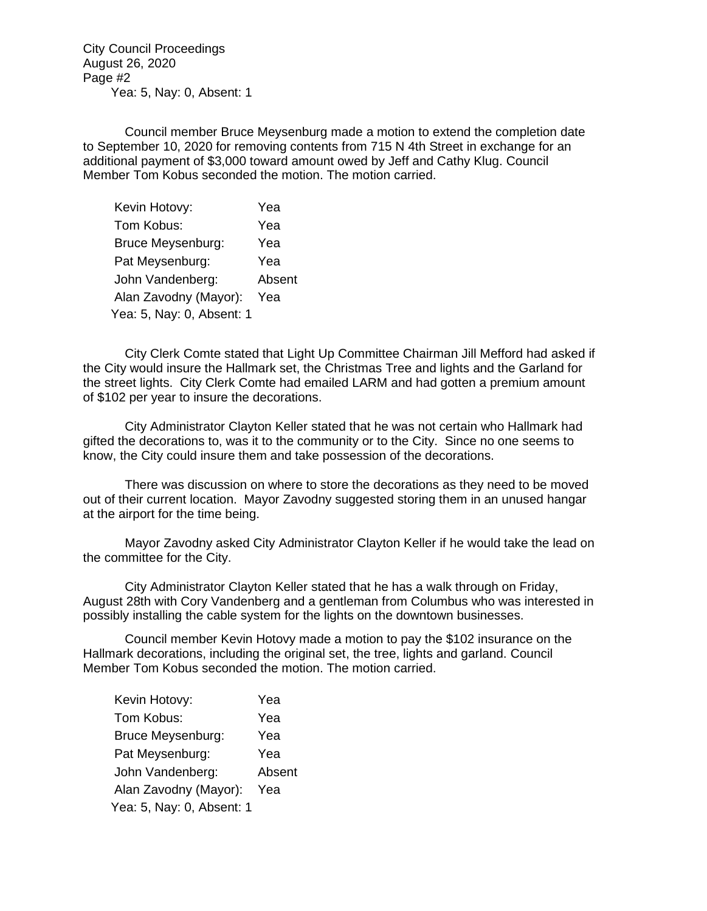City Council Proceedings August 26, 2020 Page #2 Yea: 5, Nay: 0, Absent: 1

Council member Bruce Meysenburg made a motion to extend the completion date to September 10, 2020 for removing contents from 715 N 4th Street in exchange for an additional payment of \$3,000 toward amount owed by Jeff and Cathy Klug. Council Member Tom Kobus seconded the motion. The motion carried.

| Kevin Hotovy:             | Yea    |
|---------------------------|--------|
| Tom Kobus:                | Yea    |
| <b>Bruce Meysenburg:</b>  | Yea    |
| Pat Meysenburg:           | Yea    |
| John Vandenberg:          | Absent |
| Alan Zavodny (Mayor):     | Yea    |
| Yea: 5, Nay: 0, Absent: 1 |        |

City Clerk Comte stated that Light Up Committee Chairman Jill Mefford had asked if the City would insure the Hallmark set, the Christmas Tree and lights and the Garland for the street lights. City Clerk Comte had emailed LARM and had gotten a premium amount of \$102 per year to insure the decorations.

 City Administrator Clayton Keller stated that he was not certain who Hallmark had gifted the decorations to, was it to the community or to the City. Since no one seems to know, the City could insure them and take possession of the decorations.

 There was discussion on where to store the decorations as they need to be moved out of their current location. Mayor Zavodny suggested storing them in an unused hangar at the airport for the time being.

 Mayor Zavodny asked City Administrator Clayton Keller if he would take the lead on the committee for the City.

 City Administrator Clayton Keller stated that he has a walk through on Friday, August 28th with Cory Vandenberg and a gentleman from Columbus who was interested in possibly installing the cable system for the lights on the downtown businesses.

Council member Kevin Hotovy made a motion to pay the \$102 insurance on the Hallmark decorations, including the original set, the tree, lights and garland. Council Member Tom Kobus seconded the motion. The motion carried.

| Kevin Hotovy:             | Yea    |
|---------------------------|--------|
| Tom Kobus:                | Yea    |
| <b>Bruce Meysenburg:</b>  | Yea    |
| Pat Meysenburg:           | Yea    |
| John Vandenberg:          | Absent |
| Alan Zavodny (Mayor):     | Yea    |
| Yea: 5, Nay: 0, Absent: 1 |        |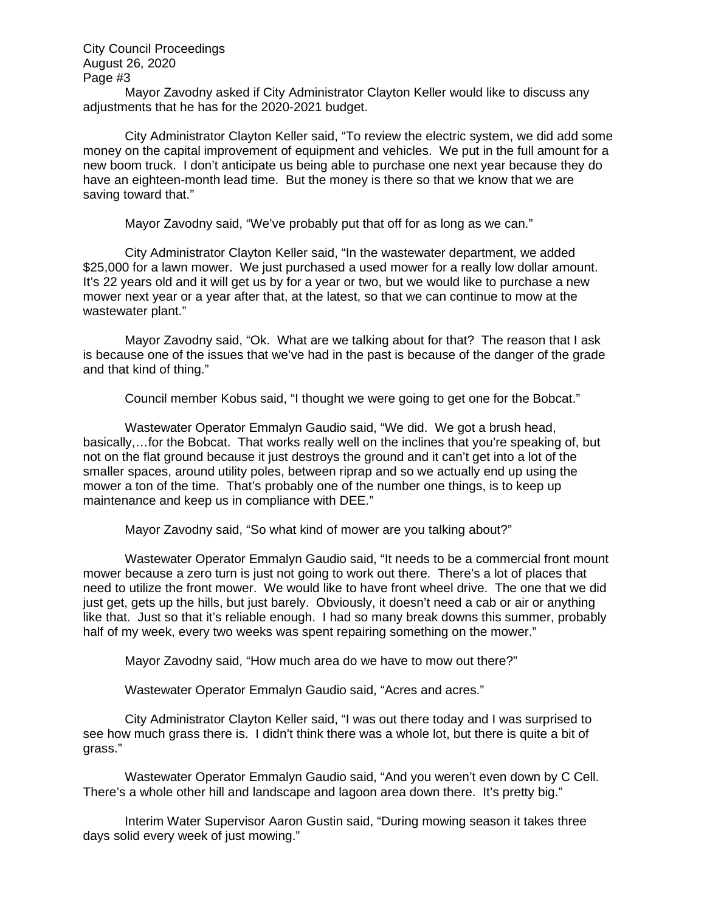Mayor Zavodny asked if City Administrator Clayton Keller would like to discuss any adjustments that he has for the 2020-2021 budget.

City Administrator Clayton Keller said, "To review the electric system, we did add some money on the capital improvement of equipment and vehicles. We put in the full amount for a new boom truck. I don't anticipate us being able to purchase one next year because they do have an eighteen-month lead time. But the money is there so that we know that we are saving toward that."

Mayor Zavodny said, "We've probably put that off for as long as we can."

City Administrator Clayton Keller said, "In the wastewater department, we added \$25,000 for a lawn mower. We just purchased a used mower for a really low dollar amount. It's 22 years old and it will get us by for a year or two, but we would like to purchase a new mower next year or a year after that, at the latest, so that we can continue to mow at the wastewater plant."

Mayor Zavodny said, "Ok. What are we talking about for that? The reason that I ask is because one of the issues that we've had in the past is because of the danger of the grade and that kind of thing."

Council member Kobus said, "I thought we were going to get one for the Bobcat."

Wastewater Operator Emmalyn Gaudio said, "We did. We got a brush head, basically,…for the Bobcat. That works really well on the inclines that you're speaking of, but not on the flat ground because it just destroys the ground and it can't get into a lot of the smaller spaces, around utility poles, between riprap and so we actually end up using the mower a ton of the time. That's probably one of the number one things, is to keep up maintenance and keep us in compliance with DEE."

Mayor Zavodny said, "So what kind of mower are you talking about?"

Wastewater Operator Emmalyn Gaudio said, "It needs to be a commercial front mount mower because a zero turn is just not going to work out there. There's a lot of places that need to utilize the front mower. We would like to have front wheel drive. The one that we did just get, gets up the hills, but just barely. Obviously, it doesn't need a cab or air or anything like that. Just so that it's reliable enough. I had so many break downs this summer, probably half of my week, every two weeks was spent repairing something on the mower."

Mayor Zavodny said, "How much area do we have to mow out there?"

Wastewater Operator Emmalyn Gaudio said, "Acres and acres."

City Administrator Clayton Keller said, "I was out there today and I was surprised to see how much grass there is. I didn't think there was a whole lot, but there is quite a bit of grass."

Wastewater Operator Emmalyn Gaudio said, "And you weren't even down by C Cell. There's a whole other hill and landscape and lagoon area down there. It's pretty big."

Interim Water Supervisor Aaron Gustin said, "During mowing season it takes three days solid every week of just mowing."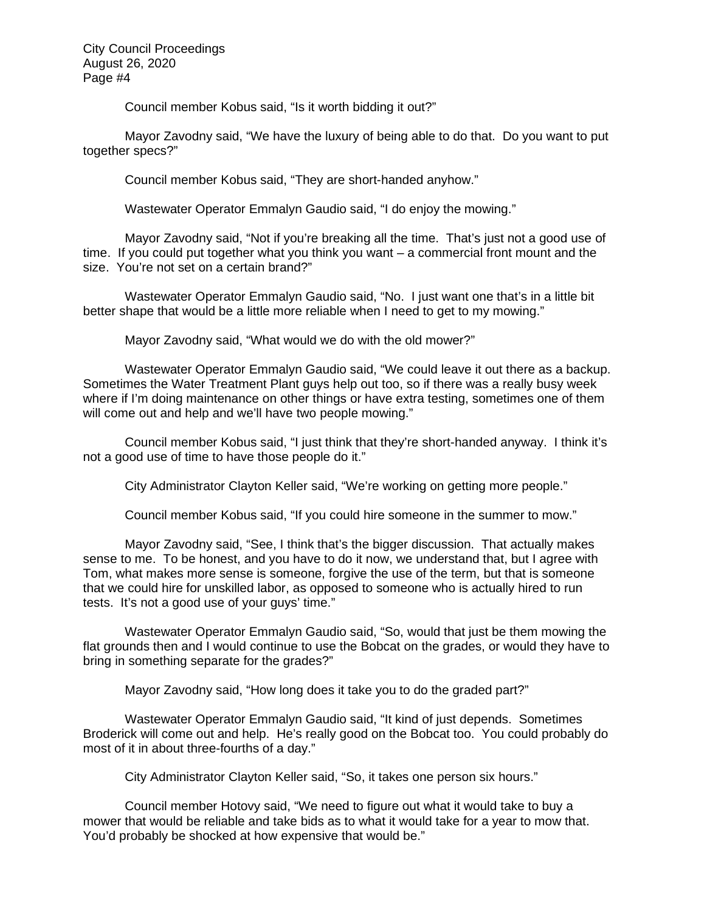Council member Kobus said, "Is it worth bidding it out?"

Mayor Zavodny said, "We have the luxury of being able to do that. Do you want to put together specs?"

Council member Kobus said, "They are short-handed anyhow."

Wastewater Operator Emmalyn Gaudio said, "I do enjoy the mowing."

Mayor Zavodny said, "Not if you're breaking all the time. That's just not a good use of time. If you could put together what you think you want – a commercial front mount and the size. You're not set on a certain brand?"

Wastewater Operator Emmalyn Gaudio said, "No. I just want one that's in a little bit better shape that would be a little more reliable when I need to get to my mowing."

Mayor Zavodny said, "What would we do with the old mower?"

Wastewater Operator Emmalyn Gaudio said, "We could leave it out there as a backup. Sometimes the Water Treatment Plant guys help out too, so if there was a really busy week where if I'm doing maintenance on other things or have extra testing, sometimes one of them will come out and help and we'll have two people mowing."

Council member Kobus said, "I just think that they're short-handed anyway. I think it's not a good use of time to have those people do it."

City Administrator Clayton Keller said, "We're working on getting more people."

Council member Kobus said, "If you could hire someone in the summer to mow."

Mayor Zavodny said, "See, I think that's the bigger discussion. That actually makes sense to me. To be honest, and you have to do it now, we understand that, but I agree with Tom, what makes more sense is someone, forgive the use of the term, but that is someone that we could hire for unskilled labor, as opposed to someone who is actually hired to run tests. It's not a good use of your guys' time."

Wastewater Operator Emmalyn Gaudio said, "So, would that just be them mowing the flat grounds then and I would continue to use the Bobcat on the grades, or would they have to bring in something separate for the grades?"

Mayor Zavodny said, "How long does it take you to do the graded part?"

Wastewater Operator Emmalyn Gaudio said, "It kind of just depends. Sometimes Broderick will come out and help. He's really good on the Bobcat too. You could probably do most of it in about three-fourths of a day."

City Administrator Clayton Keller said, "So, it takes one person six hours."

Council member Hotovy said, "We need to figure out what it would take to buy a mower that would be reliable and take bids as to what it would take for a year to mow that. You'd probably be shocked at how expensive that would be."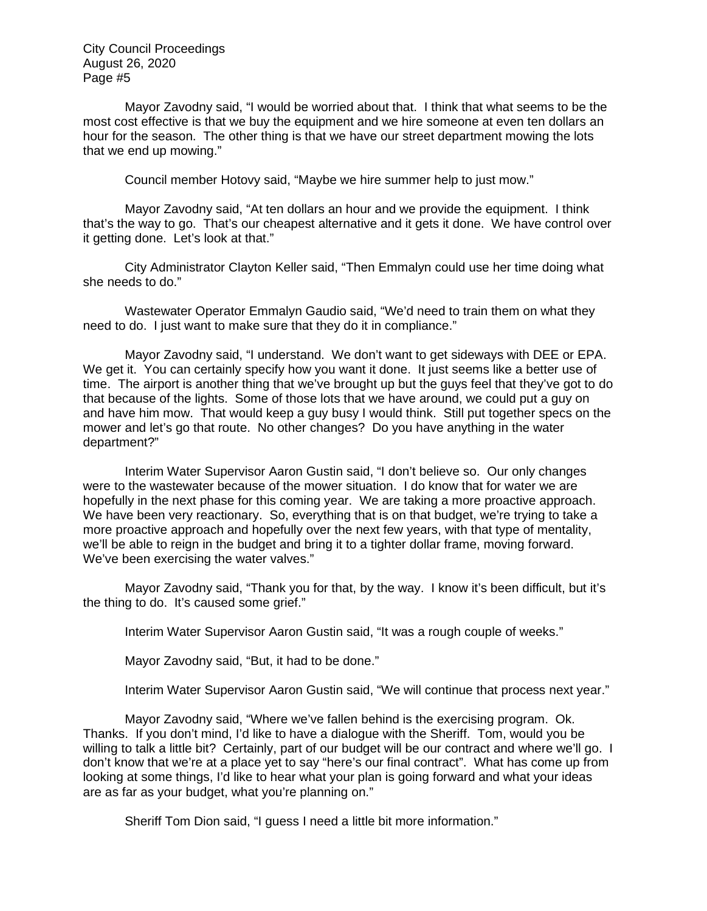Mayor Zavodny said, "I would be worried about that. I think that what seems to be the most cost effective is that we buy the equipment and we hire someone at even ten dollars an hour for the season. The other thing is that we have our street department mowing the lots that we end up mowing."

Council member Hotovy said, "Maybe we hire summer help to just mow."

Mayor Zavodny said, "At ten dollars an hour and we provide the equipment. I think that's the way to go. That's our cheapest alternative and it gets it done. We have control over it getting done. Let's look at that."

City Administrator Clayton Keller said, "Then Emmalyn could use her time doing what she needs to do."

Wastewater Operator Emmalyn Gaudio said, "We'd need to train them on what they need to do. I just want to make sure that they do it in compliance."

Mayor Zavodny said, "I understand. We don't want to get sideways with DEE or EPA. We get it. You can certainly specify how you want it done. It just seems like a better use of time. The airport is another thing that we've brought up but the guys feel that they've got to do that because of the lights. Some of those lots that we have around, we could put a guy on and have him mow. That would keep a guy busy I would think. Still put together specs on the mower and let's go that route. No other changes? Do you have anything in the water department?"

Interim Water Supervisor Aaron Gustin said, "I don't believe so. Our only changes were to the wastewater because of the mower situation. I do know that for water we are hopefully in the next phase for this coming year. We are taking a more proactive approach. We have been very reactionary. So, everything that is on that budget, we're trying to take a more proactive approach and hopefully over the next few years, with that type of mentality, we'll be able to reign in the budget and bring it to a tighter dollar frame, moving forward. We've been exercising the water valves."

Mayor Zavodny said, "Thank you for that, by the way. I know it's been difficult, but it's the thing to do. It's caused some grief."

Interim Water Supervisor Aaron Gustin said, "It was a rough couple of weeks."

Mayor Zavodny said, "But, it had to be done."

Interim Water Supervisor Aaron Gustin said, "We will continue that process next year."

Mayor Zavodny said, "Where we've fallen behind is the exercising program. Ok. Thanks. If you don't mind, I'd like to have a dialogue with the Sheriff. Tom, would you be willing to talk a little bit? Certainly, part of our budget will be our contract and where we'll go. I don't know that we're at a place yet to say "here's our final contract". What has come up from looking at some things, I'd like to hear what your plan is going forward and what your ideas are as far as your budget, what you're planning on."

Sheriff Tom Dion said, "I guess I need a little bit more information."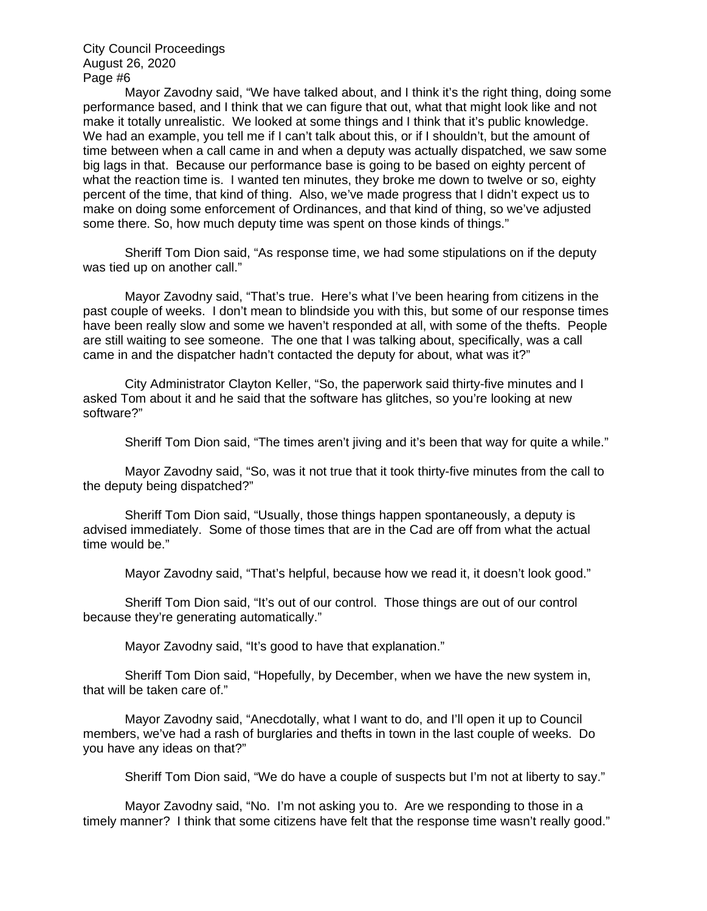Mayor Zavodny said, "We have talked about, and I think it's the right thing, doing some performance based, and I think that we can figure that out, what that might look like and not make it totally unrealistic. We looked at some things and I think that it's public knowledge. We had an example, you tell me if I can't talk about this, or if I shouldn't, but the amount of time between when a call came in and when a deputy was actually dispatched, we saw some big lags in that. Because our performance base is going to be based on eighty percent of what the reaction time is. I wanted ten minutes, they broke me down to twelve or so, eighty percent of the time, that kind of thing. Also, we've made progress that I didn't expect us to make on doing some enforcement of Ordinances, and that kind of thing, so we've adjusted some there. So, how much deputy time was spent on those kinds of things."

Sheriff Tom Dion said, "As response time, we had some stipulations on if the deputy was tied up on another call."

Mayor Zavodny said, "That's true. Here's what I've been hearing from citizens in the past couple of weeks. I don't mean to blindside you with this, but some of our response times have been really slow and some we haven't responded at all, with some of the thefts. People are still waiting to see someone. The one that I was talking about, specifically, was a call came in and the dispatcher hadn't contacted the deputy for about, what was it?"

City Administrator Clayton Keller, "So, the paperwork said thirty-five minutes and I asked Tom about it and he said that the software has glitches, so you're looking at new software?"

Sheriff Tom Dion said, "The times aren't jiving and it's been that way for quite a while."

Mayor Zavodny said, "So, was it not true that it took thirty-five minutes from the call to the deputy being dispatched?"

Sheriff Tom Dion said, "Usually, those things happen spontaneously, a deputy is advised immediately. Some of those times that are in the Cad are off from what the actual time would be."

Mayor Zavodny said, "That's helpful, because how we read it, it doesn't look good."

Sheriff Tom Dion said, "It's out of our control. Those things are out of our control because they're generating automatically."

Mayor Zavodny said, "It's good to have that explanation."

Sheriff Tom Dion said, "Hopefully, by December, when we have the new system in, that will be taken care of."

Mayor Zavodny said, "Anecdotally, what I want to do, and I'll open it up to Council members, we've had a rash of burglaries and thefts in town in the last couple of weeks. Do you have any ideas on that?"

Sheriff Tom Dion said, "We do have a couple of suspects but I'm not at liberty to say."

Mayor Zavodny said, "No. I'm not asking you to. Are we responding to those in a timely manner? I think that some citizens have felt that the response time wasn't really good."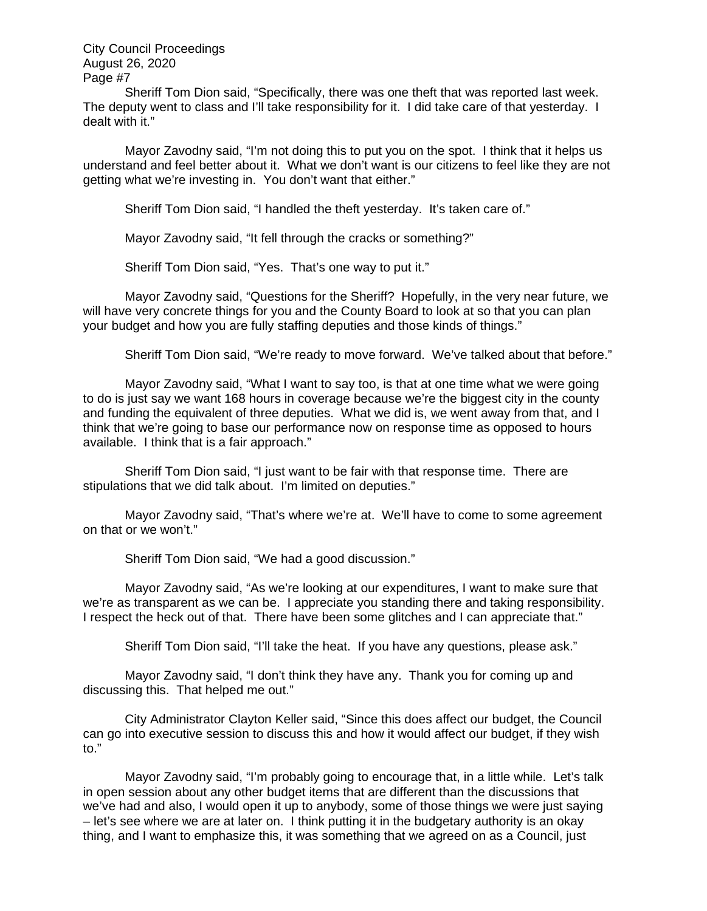Sheriff Tom Dion said, "Specifically, there was one theft that was reported last week. The deputy went to class and I'll take responsibility for it. I did take care of that yesterday. I dealt with it."

Mayor Zavodny said, "I'm not doing this to put you on the spot. I think that it helps us understand and feel better about it. What we don't want is our citizens to feel like they are not getting what we're investing in. You don't want that either."

Sheriff Tom Dion said, "I handled the theft yesterday. It's taken care of."

Mayor Zavodny said, "It fell through the cracks or something?"

Sheriff Tom Dion said, "Yes. That's one way to put it."

Mayor Zavodny said, "Questions for the Sheriff? Hopefully, in the very near future, we will have very concrete things for you and the County Board to look at so that you can plan your budget and how you are fully staffing deputies and those kinds of things."

Sheriff Tom Dion said, "We're ready to move forward. We've talked about that before."

Mayor Zavodny said, "What I want to say too, is that at one time what we were going to do is just say we want 168 hours in coverage because we're the biggest city in the county and funding the equivalent of three deputies. What we did is, we went away from that, and I think that we're going to base our performance now on response time as opposed to hours available. I think that is a fair approach."

Sheriff Tom Dion said, "I just want to be fair with that response time. There are stipulations that we did talk about. I'm limited on deputies."

Mayor Zavodny said, "That's where we're at. We'll have to come to some agreement on that or we won't."

Sheriff Tom Dion said, "We had a good discussion."

Mayor Zavodny said, "As we're looking at our expenditures, I want to make sure that we're as transparent as we can be. I appreciate you standing there and taking responsibility. I respect the heck out of that. There have been some glitches and I can appreciate that."

Sheriff Tom Dion said, "I'll take the heat. If you have any questions, please ask."

Mayor Zavodny said, "I don't think they have any. Thank you for coming up and discussing this. That helped me out."

City Administrator Clayton Keller said, "Since this does affect our budget, the Council can go into executive session to discuss this and how it would affect our budget, if they wish to."

Mayor Zavodny said, "I'm probably going to encourage that, in a little while. Let's talk in open session about any other budget items that are different than the discussions that we've had and also, I would open it up to anybody, some of those things we were just saying – let's see where we are at later on. I think putting it in the budgetary authority is an okay thing, and I want to emphasize this, it was something that we agreed on as a Council, just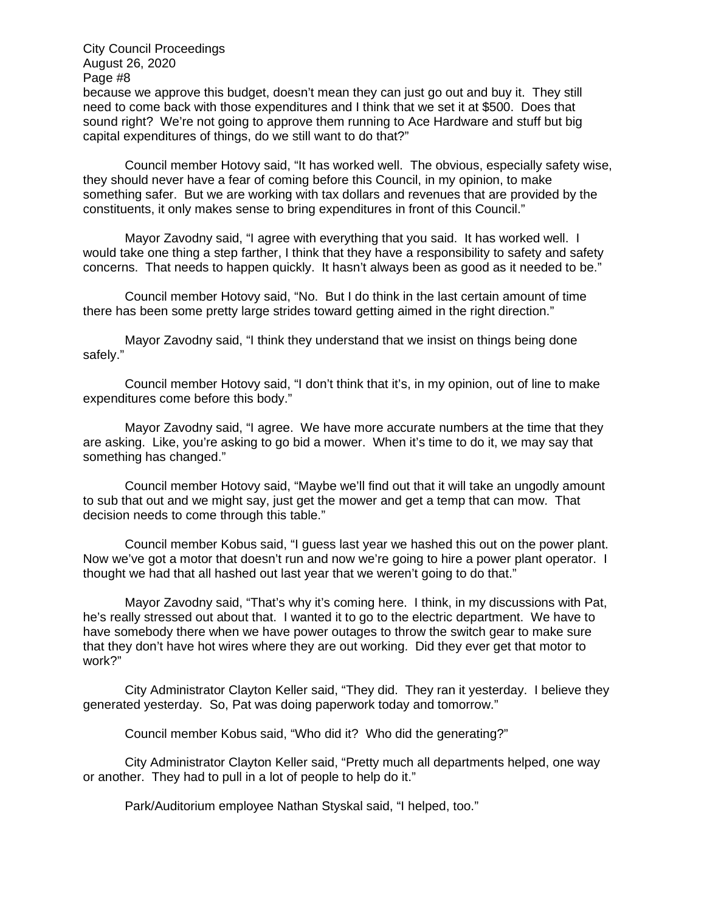August 26, 2020 Page #8 because we approve this budget, doesn't mean they can just go out and buy it. They still need to come back with those expenditures and I think that we set it at \$500. Does that sound right? We're not going to approve them running to Ace Hardware and stuff but big capital expenditures of things, do we still want to do that?"

City Council Proceedings

Council member Hotovy said, "It has worked well. The obvious, especially safety wise, they should never have a fear of coming before this Council, in my opinion, to make something safer. But we are working with tax dollars and revenues that are provided by the constituents, it only makes sense to bring expenditures in front of this Council."

Mayor Zavodny said, "I agree with everything that you said. It has worked well. I would take one thing a step farther, I think that they have a responsibility to safety and safety concerns. That needs to happen quickly. It hasn't always been as good as it needed to be."

Council member Hotovy said, "No. But I do think in the last certain amount of time there has been some pretty large strides toward getting aimed in the right direction."

Mayor Zavodny said, "I think they understand that we insist on things being done safely."

Council member Hotovy said, "I don't think that it's, in my opinion, out of line to make expenditures come before this body."

Mayor Zavodny said, "I agree. We have more accurate numbers at the time that they are asking. Like, you're asking to go bid a mower. When it's time to do it, we may say that something has changed."

Council member Hotovy said, "Maybe we'll find out that it will take an ungodly amount to sub that out and we might say, just get the mower and get a temp that can mow. That decision needs to come through this table."

Council member Kobus said, "I guess last year we hashed this out on the power plant. Now we've got a motor that doesn't run and now we're going to hire a power plant operator. I thought we had that all hashed out last year that we weren't going to do that."

Mayor Zavodny said, "That's why it's coming here. I think, in my discussions with Pat, he's really stressed out about that. I wanted it to go to the electric department. We have to have somebody there when we have power outages to throw the switch gear to make sure that they don't have hot wires where they are out working. Did they ever get that motor to work?"

City Administrator Clayton Keller said, "They did. They ran it yesterday. I believe they generated yesterday. So, Pat was doing paperwork today and tomorrow."

Council member Kobus said, "Who did it? Who did the generating?"

City Administrator Clayton Keller said, "Pretty much all departments helped, one way or another. They had to pull in a lot of people to help do it."

Park/Auditorium employee Nathan Styskal said, "I helped, too."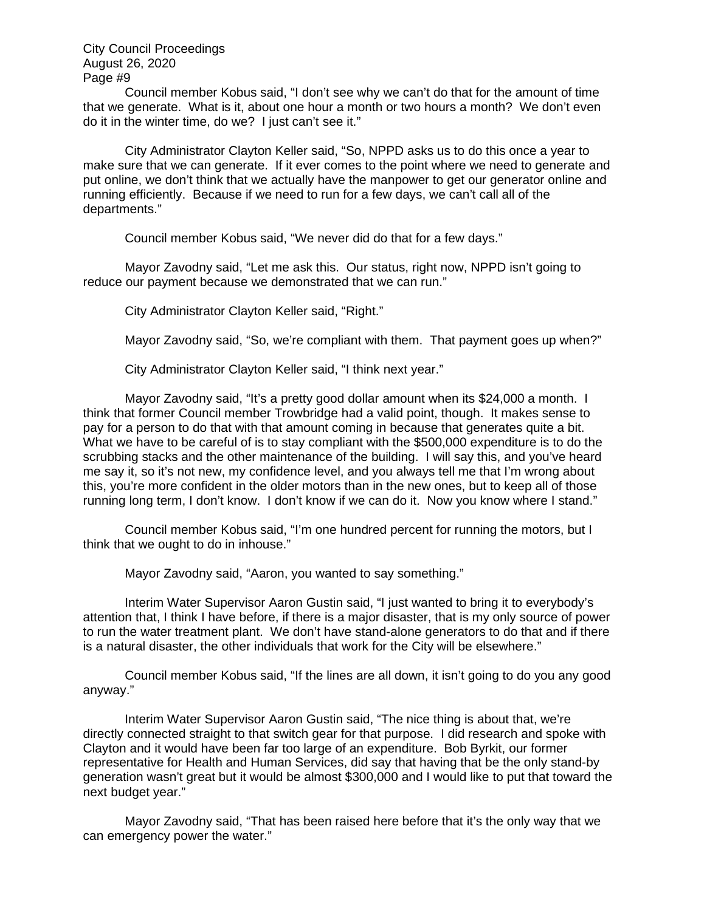Council member Kobus said, "I don't see why we can't do that for the amount of time that we generate. What is it, about one hour a month or two hours a month? We don't even do it in the winter time, do we? I just can't see it."

City Administrator Clayton Keller said, "So, NPPD asks us to do this once a year to make sure that we can generate. If it ever comes to the point where we need to generate and put online, we don't think that we actually have the manpower to get our generator online and running efficiently. Because if we need to run for a few days, we can't call all of the departments."

Council member Kobus said, "We never did do that for a few days."

Mayor Zavodny said, "Let me ask this. Our status, right now, NPPD isn't going to reduce our payment because we demonstrated that we can run."

City Administrator Clayton Keller said, "Right."

Mayor Zavodny said, "So, we're compliant with them. That payment goes up when?"

City Administrator Clayton Keller said, "I think next year."

Mayor Zavodny said, "It's a pretty good dollar amount when its \$24,000 a month. I think that former Council member Trowbridge had a valid point, though. It makes sense to pay for a person to do that with that amount coming in because that generates quite a bit. What we have to be careful of is to stay compliant with the \$500,000 expenditure is to do the scrubbing stacks and the other maintenance of the building. I will say this, and you've heard me say it, so it's not new, my confidence level, and you always tell me that I'm wrong about this, you're more confident in the older motors than in the new ones, but to keep all of those running long term, I don't know. I don't know if we can do it. Now you know where I stand."

Council member Kobus said, "I'm one hundred percent for running the motors, but I think that we ought to do in inhouse."

Mayor Zavodny said, "Aaron, you wanted to say something."

Interim Water Supervisor Aaron Gustin said, "I just wanted to bring it to everybody's attention that, I think I have before, if there is a major disaster, that is my only source of power to run the water treatment plant. We don't have stand-alone generators to do that and if there is a natural disaster, the other individuals that work for the City will be elsewhere."

Council member Kobus said, "If the lines are all down, it isn't going to do you any good anyway."

Interim Water Supervisor Aaron Gustin said, "The nice thing is about that, we're directly connected straight to that switch gear for that purpose. I did research and spoke with Clayton and it would have been far too large of an expenditure. Bob Byrkit, our former representative for Health and Human Services, did say that having that be the only stand-by generation wasn't great but it would be almost \$300,000 and I would like to put that toward the next budget year."

Mayor Zavodny said, "That has been raised here before that it's the only way that we can emergency power the water."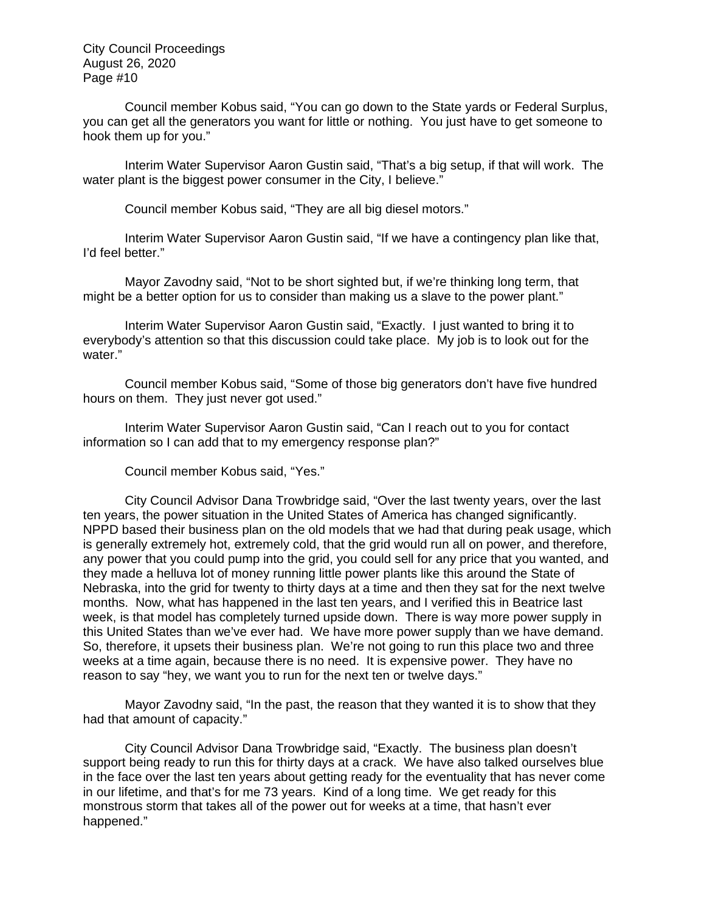Council member Kobus said, "You can go down to the State yards or Federal Surplus, you can get all the generators you want for little or nothing. You just have to get someone to hook them up for you."

Interim Water Supervisor Aaron Gustin said, "That's a big setup, if that will work. The water plant is the biggest power consumer in the City, I believe."

Council member Kobus said, "They are all big diesel motors."

Interim Water Supervisor Aaron Gustin said, "If we have a contingency plan like that, I'd feel better."

Mayor Zavodny said, "Not to be short sighted but, if we're thinking long term, that might be a better option for us to consider than making us a slave to the power plant."

Interim Water Supervisor Aaron Gustin said, "Exactly. I just wanted to bring it to everybody's attention so that this discussion could take place. My job is to look out for the water."

Council member Kobus said, "Some of those big generators don't have five hundred hours on them. They just never got used."

Interim Water Supervisor Aaron Gustin said, "Can I reach out to you for contact information so I can add that to my emergency response plan?"

Council member Kobus said, "Yes."

City Council Advisor Dana Trowbridge said, "Over the last twenty years, over the last ten years, the power situation in the United States of America has changed significantly. NPPD based their business plan on the old models that we had that during peak usage, which is generally extremely hot, extremely cold, that the grid would run all on power, and therefore, any power that you could pump into the grid, you could sell for any price that you wanted, and they made a helluva lot of money running little power plants like this around the State of Nebraska, into the grid for twenty to thirty days at a time and then they sat for the next twelve months. Now, what has happened in the last ten years, and I verified this in Beatrice last week, is that model has completely turned upside down. There is way more power supply in this United States than we've ever had. We have more power supply than we have demand. So, therefore, it upsets their business plan. We're not going to run this place two and three weeks at a time again, because there is no need. It is expensive power. They have no reason to say "hey, we want you to run for the next ten or twelve days."

Mayor Zavodny said, "In the past, the reason that they wanted it is to show that they had that amount of capacity."

City Council Advisor Dana Trowbridge said, "Exactly. The business plan doesn't support being ready to run this for thirty days at a crack. We have also talked ourselves blue in the face over the last ten years about getting ready for the eventuality that has never come in our lifetime, and that's for me 73 years. Kind of a long time. We get ready for this monstrous storm that takes all of the power out for weeks at a time, that hasn't ever happened."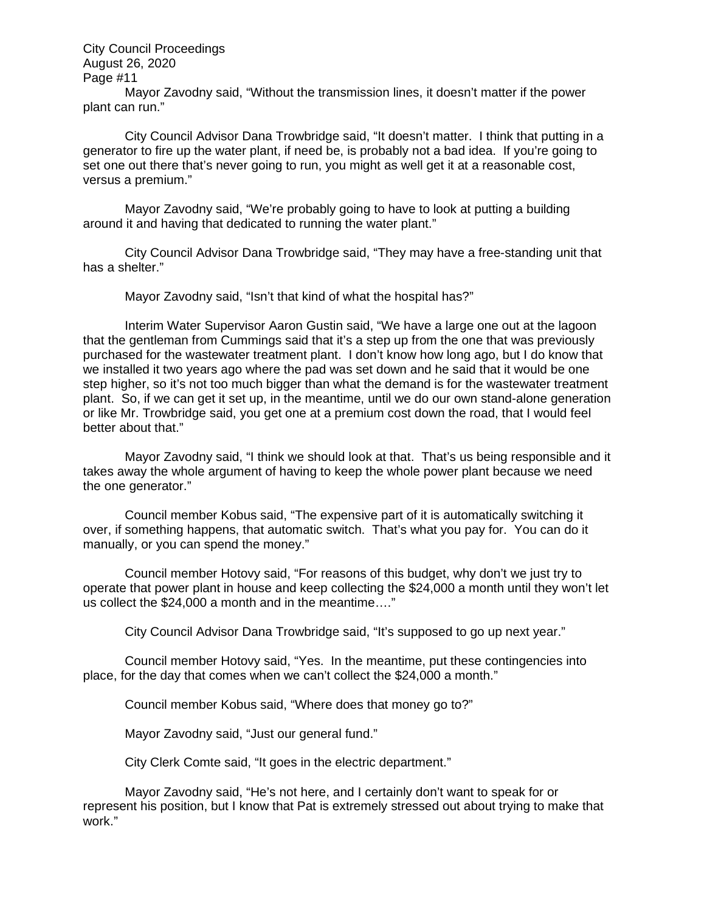Mayor Zavodny said, "Without the transmission lines, it doesn't matter if the power plant can run."

City Council Advisor Dana Trowbridge said, "It doesn't matter. I think that putting in a generator to fire up the water plant, if need be, is probably not a bad idea. If you're going to set one out there that's never going to run, you might as well get it at a reasonable cost, versus a premium."

Mayor Zavodny said, "We're probably going to have to look at putting a building around it and having that dedicated to running the water plant."

City Council Advisor Dana Trowbridge said, "They may have a free-standing unit that has a shelter."

Mayor Zavodny said, "Isn't that kind of what the hospital has?"

Interim Water Supervisor Aaron Gustin said, "We have a large one out at the lagoon that the gentleman from Cummings said that it's a step up from the one that was previously purchased for the wastewater treatment plant. I don't know how long ago, but I do know that we installed it two years ago where the pad was set down and he said that it would be one step higher, so it's not too much bigger than what the demand is for the wastewater treatment plant. So, if we can get it set up, in the meantime, until we do our own stand-alone generation or like Mr. Trowbridge said, you get one at a premium cost down the road, that I would feel better about that."

Mayor Zavodny said, "I think we should look at that. That's us being responsible and it takes away the whole argument of having to keep the whole power plant because we need the one generator."

Council member Kobus said, "The expensive part of it is automatically switching it over, if something happens, that automatic switch. That's what you pay for. You can do it manually, or you can spend the money."

Council member Hotovy said, "For reasons of this budget, why don't we just try to operate that power plant in house and keep collecting the \$24,000 a month until they won't let us collect the \$24,000 a month and in the meantime…."

City Council Advisor Dana Trowbridge said, "It's supposed to go up next year."

Council member Hotovy said, "Yes. In the meantime, put these contingencies into place, for the day that comes when we can't collect the \$24,000 a month."

Council member Kobus said, "Where does that money go to?"

Mayor Zavodny said, "Just our general fund."

City Clerk Comte said, "It goes in the electric department."

Mayor Zavodny said, "He's not here, and I certainly don't want to speak for or represent his position, but I know that Pat is extremely stressed out about trying to make that work."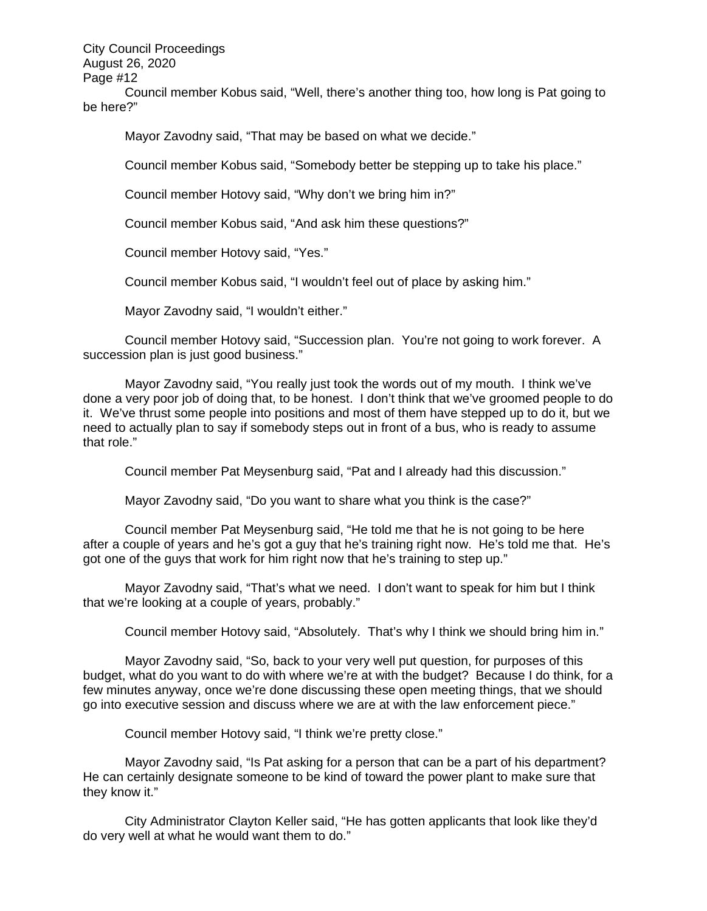Council member Kobus said, "Well, there's another thing too, how long is Pat going to be here?"

Mayor Zavodny said, "That may be based on what we decide."

Council member Kobus said, "Somebody better be stepping up to take his place."

Council member Hotovy said, "Why don't we bring him in?"

Council member Kobus said, "And ask him these questions?"

Council member Hotovy said, "Yes."

Council member Kobus said, "I wouldn't feel out of place by asking him."

Mayor Zavodny said, "I wouldn't either."

Council member Hotovy said, "Succession plan. You're not going to work forever. A succession plan is just good business."

Mayor Zavodny said, "You really just took the words out of my mouth. I think we've done a very poor job of doing that, to be honest. I don't think that we've groomed people to do it. We've thrust some people into positions and most of them have stepped up to do it, but we need to actually plan to say if somebody steps out in front of a bus, who is ready to assume that role."

Council member Pat Meysenburg said, "Pat and I already had this discussion."

Mayor Zavodny said, "Do you want to share what you think is the case?"

Council member Pat Meysenburg said, "He told me that he is not going to be here after a couple of years and he's got a guy that he's training right now. He's told me that. He's got one of the guys that work for him right now that he's training to step up."

Mayor Zavodny said, "That's what we need. I don't want to speak for him but I think that we're looking at a couple of years, probably."

Council member Hotovy said, "Absolutely. That's why I think we should bring him in."

Mayor Zavodny said, "So, back to your very well put question, for purposes of this budget, what do you want to do with where we're at with the budget? Because I do think, for a few minutes anyway, once we're done discussing these open meeting things, that we should go into executive session and discuss where we are at with the law enforcement piece."

Council member Hotovy said, "I think we're pretty close."

Mayor Zavodny said, "Is Pat asking for a person that can be a part of his department? He can certainly designate someone to be kind of toward the power plant to make sure that they know it."

City Administrator Clayton Keller said, "He has gotten applicants that look like they'd do very well at what he would want them to do."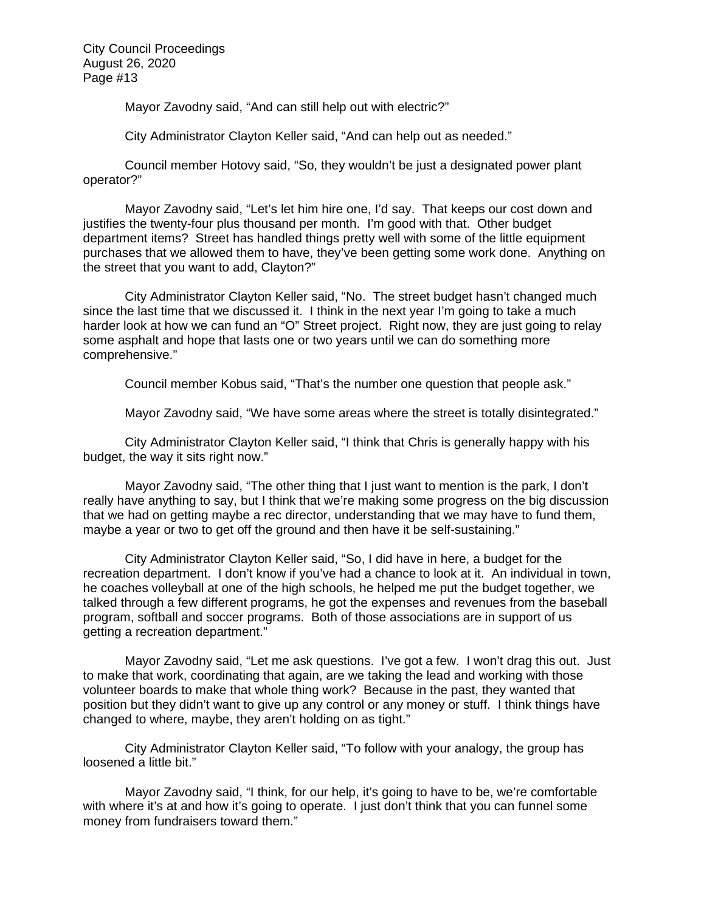Mayor Zavodny said, "And can still help out with electric?"

City Administrator Clayton Keller said, "And can help out as needed."

Council member Hotovy said, "So, they wouldn't be just a designated power plant operator?"

Mayor Zavodny said, "Let's let him hire one, I'd say. That keeps our cost down and justifies the twenty-four plus thousand per month. I'm good with that. Other budget department items? Street has handled things pretty well with some of the little equipment purchases that we allowed them to have, they've been getting some work done. Anything on the street that you want to add, Clayton?"

City Administrator Clayton Keller said, "No. The street budget hasn't changed much since the last time that we discussed it. I think in the next year I'm going to take a much harder look at how we can fund an "O" Street project. Right now, they are just going to relay some asphalt and hope that lasts one or two years until we can do something more comprehensive."

Council member Kobus said, "That's the number one question that people ask."

Mayor Zavodny said, "We have some areas where the street is totally disintegrated."

City Administrator Clayton Keller said, "I think that Chris is generally happy with his budget, the way it sits right now."

Mayor Zavodny said, "The other thing that I just want to mention is the park, I don't really have anything to say, but I think that we're making some progress on the big discussion that we had on getting maybe a rec director, understanding that we may have to fund them, maybe a year or two to get off the ground and then have it be self-sustaining."

City Administrator Clayton Keller said, "So, I did have in here, a budget for the recreation department. I don't know if you've had a chance to look at it. An individual in town, he coaches volleyball at one of the high schools, he helped me put the budget together, we talked through a few different programs, he got the expenses and revenues from the baseball program, softball and soccer programs. Both of those associations are in support of us getting a recreation department."

Mayor Zavodny said, "Let me ask questions. I've got a few. I won't drag this out. Just to make that work, coordinating that again, are we taking the lead and working with those volunteer boards to make that whole thing work? Because in the past, they wanted that position but they didn't want to give up any control or any money or stuff. I think things have changed to where, maybe, they aren't holding on as tight."

City Administrator Clayton Keller said, "To follow with your analogy, the group has loosened a little bit."

Mayor Zavodny said, "I think, for our help, it's going to have to be, we're comfortable with where it's at and how it's going to operate. I just don't think that you can funnel some money from fundraisers toward them."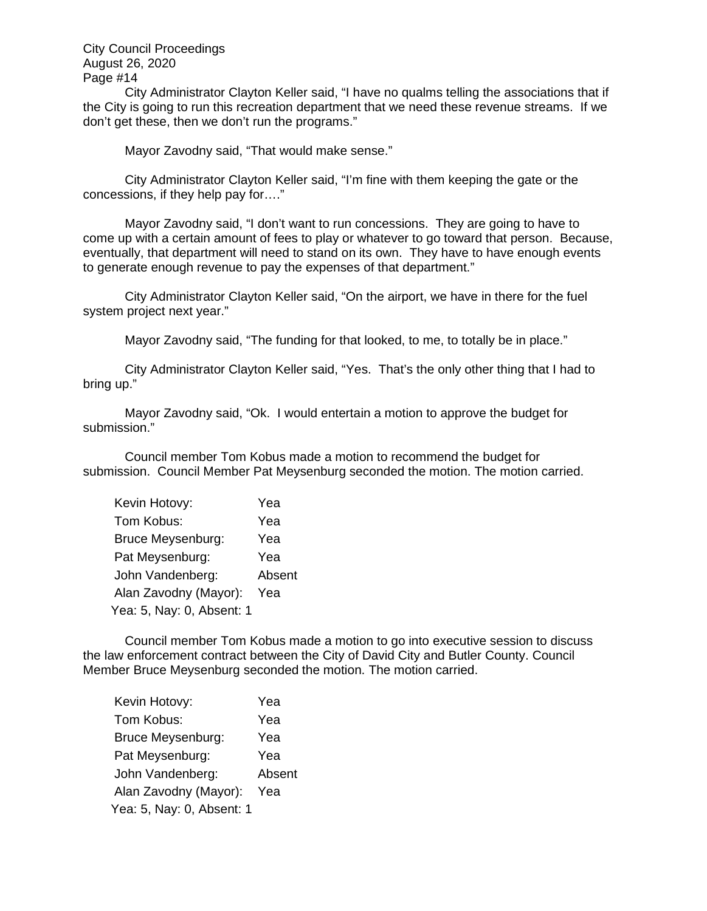City Administrator Clayton Keller said, "I have no qualms telling the associations that if the City is going to run this recreation department that we need these revenue streams. If we don't get these, then we don't run the programs."

Mayor Zavodny said, "That would make sense."

City Administrator Clayton Keller said, "I'm fine with them keeping the gate or the concessions, if they help pay for…."

Mayor Zavodny said, "I don't want to run concessions. They are going to have to come up with a certain amount of fees to play or whatever to go toward that person. Because, eventually, that department will need to stand on its own. They have to have enough events to generate enough revenue to pay the expenses of that department."

City Administrator Clayton Keller said, "On the airport, we have in there for the fuel system project next year."

Mayor Zavodny said, "The funding for that looked, to me, to totally be in place."

City Administrator Clayton Keller said, "Yes. That's the only other thing that I had to bring up."

Mayor Zavodny said, "Ok. I would entertain a motion to approve the budget for submission."

 Council member Tom Kobus made a motion to recommend the budget for submission. Council Member Pat Meysenburg seconded the motion. The motion carried.

| Kevin Hotovy:             | Yea    |
|---------------------------|--------|
| Tom Kobus:                | Yea    |
| Bruce Meysenburg:         | Yea    |
| Pat Meysenburg:           | Yea    |
| John Vandenberg:          | Absent |
| Alan Zavodny (Mayor):     | Yea    |
| Yea: 5, Nay: 0, Absent: 1 |        |

 Council member Tom Kobus made a motion to go into executive session to discuss the law enforcement contract between the City of David City and Butler County. Council Member Bruce Meysenburg seconded the motion. The motion carried.

| Kevin Hotovy:             | Yea    |
|---------------------------|--------|
| Tom Kobus:                | Yea    |
| <b>Bruce Meysenburg:</b>  | Yea    |
| Pat Meysenburg:           | Yea    |
| John Vandenberg:          | Absent |
| Alan Zavodny (Mayor):     | Yea    |
| Yea: 5, Nay: 0, Absent: 1 |        |